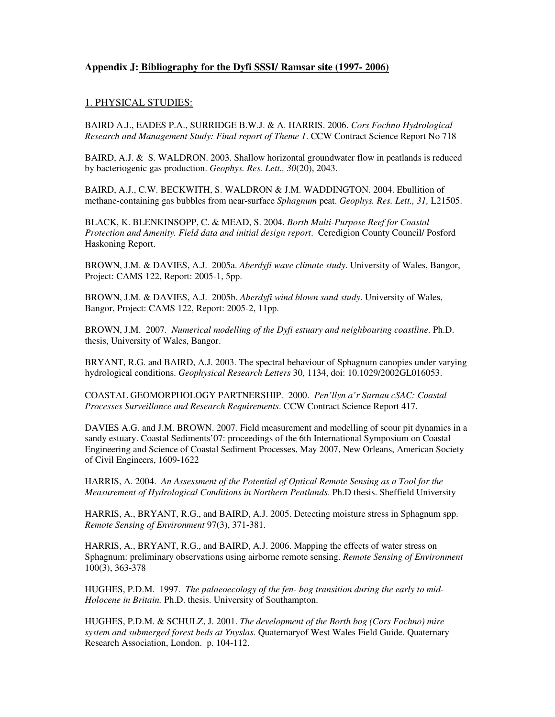# **Appendix J: Bibliography for the Dyfi SSSI/ Ramsar site (1997- 2006)**

### <u>1. PHYSICAL STUDIES:</u>

BAIRD A.J., EADES P.A., SURRIDGE B.W.J. & A. HARRIS. 2006. *Cors Fochno Hydrological Research and Management Study: Final report of Theme 1*. CCW Contract Science Report No 718

BAIRD, A.J. & S. WALDRON. 2003. Shallow horizontal groundwater flow in peatlands is reduced by bacteriogenic gas production. *Geophys. Res. Lett., 30*(20), 2043.

BAIRD, A.J., C.W. BECKWITH, S. WALDRON & J.M. WADDINGTON. 2004. Ebullition of methane-containing gas bubbles from near-surface *Sphagnum* peat. *Geophys. Res. Lett., 31,* L21505.

BLACK, K. BLENKINSOPP, C. & MEAD, S. 2004. *Borth Multi-Purpose Reef for Coastal Protection and Amenity. Field data and initial design report*. Ceredigion County Council/ Posford Haskoning Report.

BROWN, J.M. & DAVIES, A.J. 2005a. *Aberdyfi wave climate study*. University of Wales, Bangor, Project: CAMS 122, Report: 2005-1, 5pp.

BROWN, J.M. & DAVIES, A.J. 2005b. *Aberdyfi wind blown sand study*. University of Wales, Bangor, Project: CAMS 122, Report: 2005-2, 11pp.

BROWN, J.M. 2007. *Numerical modelling of the Dyfi estuary and neighbouring coastline*. Ph.D. thesis, University of Wales, Bangor.

BRYANT, R.G. and BAIRD, A.J. 2003. The spectral behaviour of Sphagnum canopies under varying hydrological conditions. *Geophysical Research Letters* 30, 1134, doi: 10.1029/2002GL016053.

COASTAL GEOMORPHOLOGY PARTNERSHIP. 2000. *Pen'llyn a'r Sarnau cSAC: Coastal Processes Surveillance and Research Requirements*. CCW Contract Science Report 417.

DAVIES A.G. and J.M. BROWN. 2007. Field measurement and modelling of scour pit dynamics in a sandy estuary. Coastal Sediments'07: proceedings of the 6th International Symposium on Coastal Engineering and Science of Coastal Sediment Processes, May 2007, New Orleans, American Society of Civil Engineers, 1609-1622

HARRIS, A. 2004. *An Assessment of the Potential of Optical Remote Sensing as a Tool for the Measurement of Hydrological Conditions in Northern Peatlands*. Ph.D thesis. Sheffield University

HARRIS, A., BRYANT, R.G., and BAIRD, A.J. 2005. Detecting moisture stress in Sphagnum spp. *Remote Sensing of Environment* 97(3), 371-381.

HARRIS, A., BRYANT, R.G., and BAIRD, A.J. 2006. Mapping the effects of water stress on Sphagnum: preliminary observations using airborne remote sensing. *Remote Sensing of Environment* 100(3), 363-378

HUGHES, P.D.M. 1997. *The palaeoecology of the fen- bog transition during the early to mid-Holocene in Britain.* Ph.D. thesis. University of Southampton.

HUGHES, P.D.M. & SCHULZ, J. 2001. *The development of the Borth bog (Cors Fochno) mire system and submerged forest beds at Ynyslas*. Quaternaryof West Wales Field Guide. Quaternary Research Association, London. p. 104-112.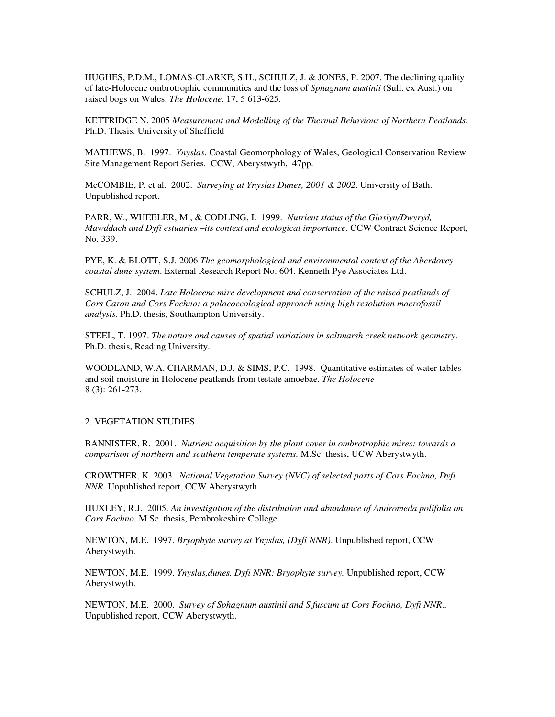HUGHES, P.D.M., LOMAS-CLARKE, S.H., SCHULZ, J. & JONES, P. 2007. The declining quality of late-Holocene ombrotrophic communities and the loss of *Sphagnum austinii* (Sull. ex Aust.) on raised bogs on Wales. *The Holocene*. 17, 5 613-625.

KETTRIDGE N. 2005 *Measurement and Modelling of the Thermal Behaviour of Northern Peatlands.* Ph.D. Thesis. University of Sheffield

MATHEWS, B. 1997. *Ynyslas*. Coastal Geomorphology of Wales, Geological Conservation Review Site Management Report Series. CCW, Aberystwyth, 47pp.

McCOMBIE, P. et al. 2002. *Surveying at Ynyslas Dunes, 2001 & 2002*. University of Bath. Unpublished report.

PARR, W., WHEELER, M., & CODLING, I. 1999. *Nutrient status of the Glaslyn/Dwyryd, Mawddach and Dyfi estuaries –its context and ecological importance*. CCW Contract Science Report, No. 339.

PYE, K. & BLOTT, S.J. 2006 *The geomorphological and environmental context of the Aberdovey coastal dune system*. External Research Report No. 604. Kenneth Pye Associates Ltd.

SCHULZ, J. 2004. *Late Holocene mire development and conservation of the raised peatlands of Cors Caron and Cors Fochno: a palaeoecological approach using high resolution macrofossil analysis.* Ph.D. thesis, Southampton University.

STEEL, T. 1997. *The nature and causes of spatial variations in saltmarsh creek network geometry*. Ph.D. thesis, Reading University.

WOODLAND, W.A. CHARMAN, D.J. & SIMS, P.C. 1998. Quantitative estimates of water tables and soil moisture in Holocene peatlands from testate amoebae. *The Holocene* 8 (3): 261-273.

#### 2. VEGETATION STUDIES

BANNISTER, R. 2001. *Nutrient acquisition by the plant cover in ombrotrophic mires: towards a comparison of northern and southern temperate systems.* M.Sc. thesis, UCW Aberystwyth.

CROWTHER, K. 2003*. National Vegetation Survey (NVC) of selected parts of Cors Fochno, Dyfi NNR.* Unpublished report, CCW Aberystwyth.

HUXLEY, R.J. 2005. *An investigation of the distribution and abundance of Andromeda polifolia on Cors Fochno.* M.Sc. thesis, Pembrokeshire College.

NEWTON, M.E. 1997. *Bryophyte survey at Ynyslas, (Dyfi NNR)*. Unpublished report, CCW Aberystwyth.

NEWTON, M.E. 1999. *Ynyslas,dunes, Dyfi NNR: Bryophyte survey.* Unpublished report, CCW Aberystwyth.

NEWTON, M.E. 2000. *Survey of Sphagnum austinii and S.fuscum at Cors Fochno, Dyfi NNR*.. Unpublished report, CCW Aberystwyth.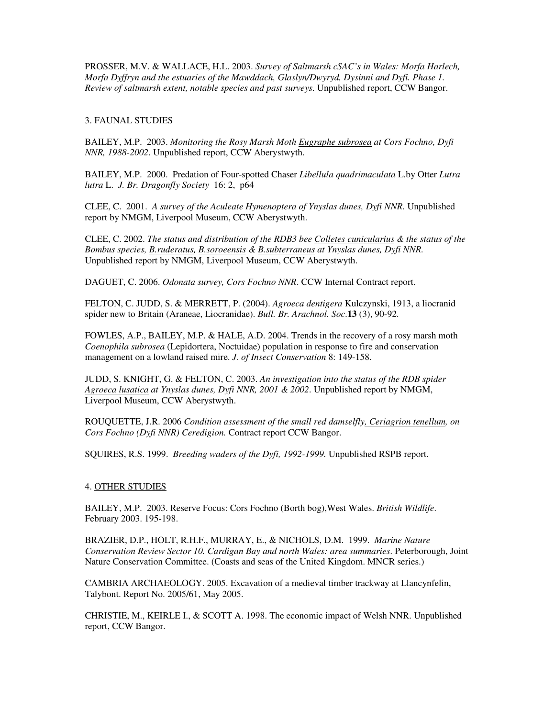PROSSER, M.V. & WALLACE, H.L. 2003. *Survey of Saltmarsh cSAC's in Wales: Morfa Harlech, Morfa Dyffryn and the estuaries of the Mawddach, Glaslyn/Dwyryd, Dysinni and Dyfi. Phase 1. Review of saltmarsh extent, notable species and past surveys*. Unpublished report, CCW Bangor.

# 3. FAUNAL STUDIES

BAILEY, M.P. 2003. *Monitoring the Rosy Marsh Moth Eugraphe subrosea at Cors Fochno, Dyfi NNR, 1988-2002*. Unpublished report, CCW Aberystwyth.

BAILEY, M.P. 2000. Predation of Four-spotted Chaser *Libellula quadrimaculata* L.by Otter *Lutra lutra* L. *J. Br. Dragonfly Society* 16: 2, p64

CLEE, C. 2001. *A survey of the Aculeate Hymenoptera of Ynyslas dunes, Dyfi NNR.* Unpublished report by NMGM, Liverpool Museum, CCW Aberystwyth.

CLEE, C. 2002. *The status and distribution of the RDB3 bee Colletes cunicularius & the status of the Bombus species, B.ruderatus, B.soroeensis & B.subterraneus at Ynyslas dunes, Dyfi NNR.* Unpublished report by NMGM, Liverpool Museum, CCW Aberystwyth.

DAGUET, C. 2006. *Odonata survey, Cors Fochno NNR*. CCW Internal Contract report.

FELTON, C. JUDD, S. & MERRETT, P. (2004). *Agroeca dentigera* Kulczynski, 1913, a liocranid spider new to Britain (Araneae, Liocranidae). *Bull. Br. Arachnol. Soc*.**13** (3), 90-92.

FOWLES, A.P., BAILEY, M.P. & HALE, A.D. 2004. Trends in the recovery of a rosy marsh moth *Coenophila subrosea* (Lepidortera, Noctuidae) population in response to fire and conservation management on a lowland raised mire. *J. of Insect Conservation* 8: 149-158.

JUDD, S. KNIGHT, G. & FELTON, C. 2003. *An investigation into the status of the RDB spider Agroeca lusatica at Ynyslas dunes, Dyfi NNR, 2001 & 2002*. Unpublished report by NMGM, Liverpool Museum, CCW Aberystwyth.

ROUQUETTE, J.R. 2006 *Condition assessment of the small red damselfly, Ceriagrion tenellum, on Cors Fochno (Dyfi NNR) Ceredigion.* Contract report CCW Bangor.

SQUIRES, R.S. 1999. *Breeding waders of the Dyfi, 1992-1999.* Unpublished RSPB report.

## 4. OTHER STUDIES

BAILEY, M.P. 2003. Reserve Focus: Cors Fochno (Borth bog),West Wales. *British Wildlife*. February 2003. 195-198.

BRAZIER, D.P., HOLT, R.H.F., MURRAY, E., & NICHOLS, D.M. 1999. *Marine Nature Conservation Review Sector 10. Cardigan Bay and north Wales: area summaries*. Peterborough, Joint Nature Conservation Committee. (Coasts and seas of the United Kingdom. MNCR series.)

CAMBRIA ARCHAEOLOGY. 2005. Excavation of a medieval timber trackway at Llancynfelin, Talybont. Report No. 2005/61, May 2005.

CHRISTIE, M., KEIRLE I., & SCOTT A. 1998. The economic impact of Welsh NNR. Unpublished report, CCW Bangor.